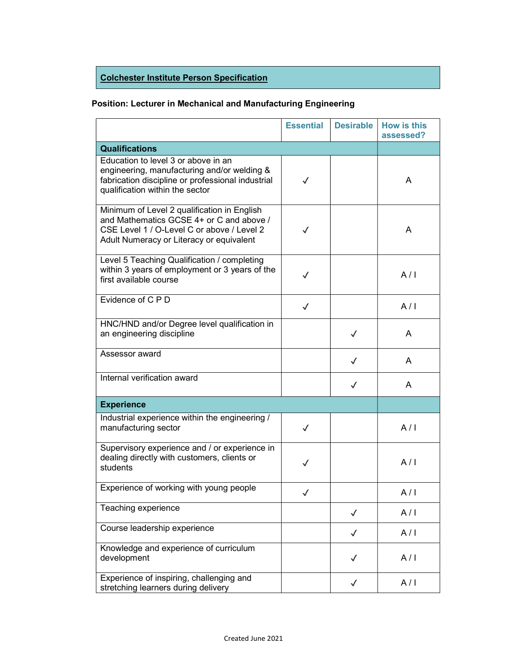## Colchester Institute Person Specification

## Position: Lecturer in Mechanical and Manufacturing Engineering

|                                                                                                                                                                                   | <b>Essential</b> | <b>Desirable</b> | <b>How is this</b><br>assessed? |
|-----------------------------------------------------------------------------------------------------------------------------------------------------------------------------------|------------------|------------------|---------------------------------|
| <b>Qualifications</b>                                                                                                                                                             |                  |                  |                                 |
| Education to level 3 or above in an<br>engineering, manufacturing and/or welding &<br>fabrication discipline or professional industrial<br>qualification within the sector        | $\checkmark$     |                  | A                               |
| Minimum of Level 2 qualification in English<br>and Mathematics GCSE 4+ or C and above /<br>CSE Level 1 / O-Level C or above / Level 2<br>Adult Numeracy or Literacy or equivalent | $\checkmark$     |                  | A                               |
| Level 5 Teaching Qualification / completing<br>within 3 years of employment or 3 years of the<br>first available course                                                           | $\checkmark$     |                  | A/I                             |
| Evidence of C P D                                                                                                                                                                 | $\checkmark$     |                  | A/I                             |
| HNC/HND and/or Degree level qualification in<br>an engineering discipline                                                                                                         |                  | $\checkmark$     | A                               |
| Assessor award                                                                                                                                                                    |                  | $\checkmark$     | A                               |
| Internal verification award                                                                                                                                                       |                  | $\checkmark$     | A                               |
| <b>Experience</b>                                                                                                                                                                 |                  |                  |                                 |
| Industrial experience within the engineering /<br>manufacturing sector                                                                                                            | $\checkmark$     |                  | A/I                             |
| Supervisory experience and / or experience in<br>dealing directly with customers, clients or<br>students                                                                          | ✓                |                  | A/I                             |
| Experience of working with young people                                                                                                                                           |                  |                  | A/I                             |
| Teaching experience                                                                                                                                                               |                  | $\checkmark$     | A/I                             |
| Course leadership experience                                                                                                                                                      |                  | $\checkmark$     | A/I                             |
| Knowledge and experience of curriculum<br>development                                                                                                                             |                  | ✓                | A/I                             |
| Experience of inspiring, challenging and<br>stretching learners during delivery                                                                                                   |                  | $\checkmark$     | A/I                             |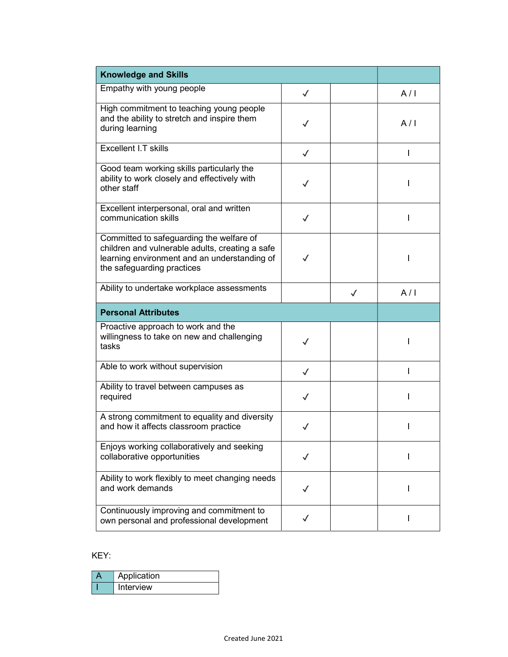| <b>Knowledge and Skills</b>                                                                                                                                               |              |              |     |
|---------------------------------------------------------------------------------------------------------------------------------------------------------------------------|--------------|--------------|-----|
| Empathy with young people                                                                                                                                                 | $\checkmark$ |              | A/I |
| High commitment to teaching young people<br>and the ability to stretch and inspire them<br>during learning                                                                | $\checkmark$ |              | A/I |
| Excellent I.T skills                                                                                                                                                      | $\checkmark$ |              | L   |
| Good team working skills particularly the<br>ability to work closely and effectively with<br>other staff                                                                  | $\checkmark$ |              | ı   |
| Excellent interpersonal, oral and written<br>communication skills                                                                                                         | $\checkmark$ |              | ı   |
| Committed to safeguarding the welfare of<br>children and vulnerable adults, creating a safe<br>learning environment and an understanding of<br>the safeguarding practices | $\checkmark$ |              | I   |
| Ability to undertake workplace assessments                                                                                                                                |              | $\checkmark$ | A/I |
| <b>Personal Attributes</b>                                                                                                                                                |              |              |     |
| Proactive approach to work and the<br>willingness to take on new and challenging<br>tasks                                                                                 | $\checkmark$ |              | L   |
| Able to work without supervision                                                                                                                                          | $\checkmark$ |              |     |
| Ability to travel between campuses as<br>required                                                                                                                         | $\checkmark$ |              | ı   |
| A strong commitment to equality and diversity<br>and how it affects classroom practice                                                                                    | $\checkmark$ |              |     |
| Enjoys working collaboratively and seeking<br>collaborative opportunities                                                                                                 | $\checkmark$ |              |     |
| Ability to work flexibly to meet changing needs<br>and work demands                                                                                                       |              |              | ı   |
| Continuously improving and commitment to<br>own personal and professional development                                                                                     |              |              | L   |

## KEY:

| Application |
|-------------|
| Interview   |